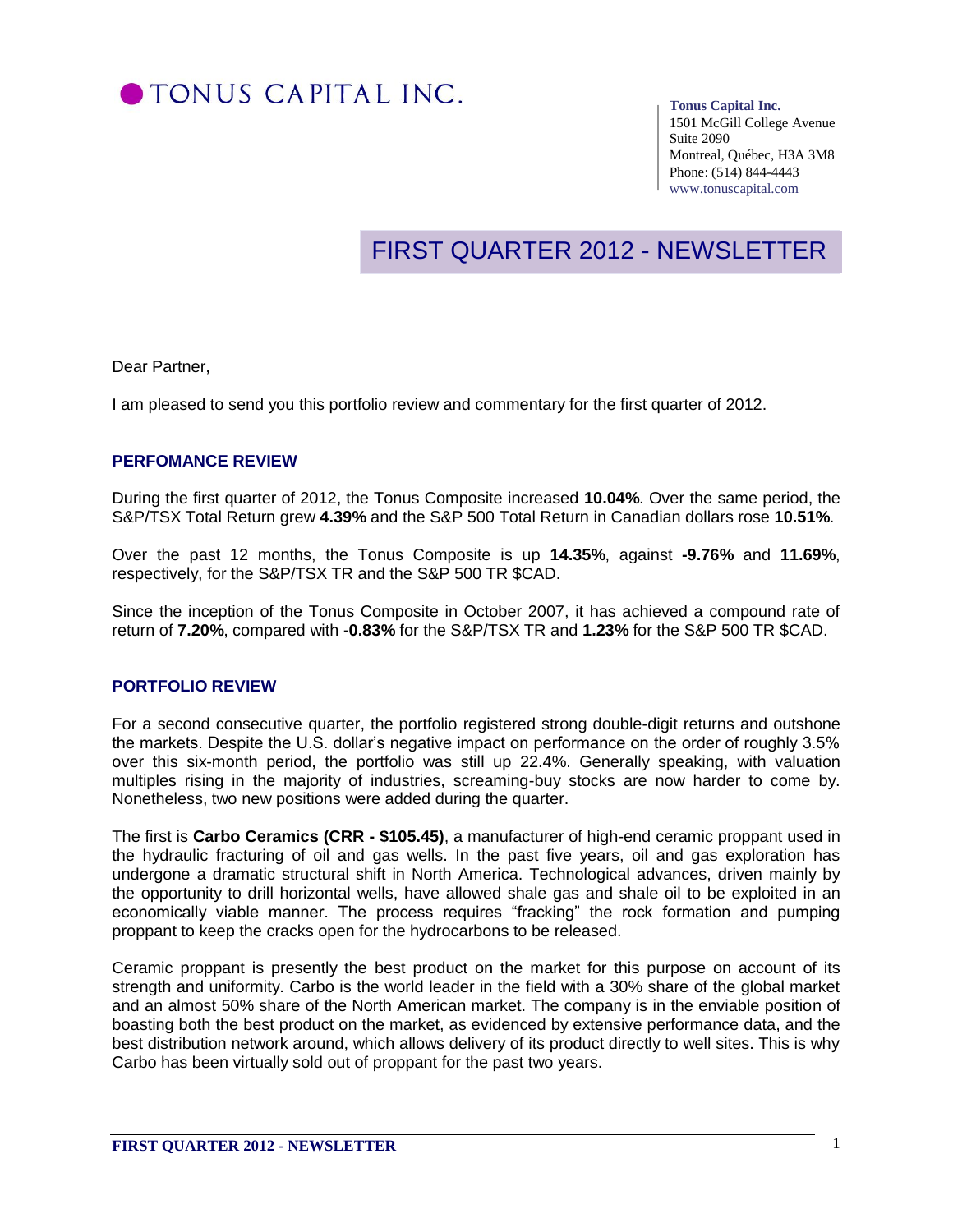

#### **Tonus Capital Inc.**

1501 McGill College Avenue Suite 2090 Montreal, Québec, H3A 3M8 Phone: (514) 844-4443 www.tonuscapital.com

# FIRST QUARTER 2012 - NEWSLETTER

Dear Partner,

I am pleased to send you this portfolio review and commentary for the first quarter of 2012.

## **PERFOMANCE REVIEW**

During the first quarter of 2012, the Tonus Composite increased **10.04%**. Over the same period, the S&P/TSX Total Return grew **4.39%** and the S&P 500 Total Return in Canadian dollars rose **10.51%**.

Over the past 12 months, the Tonus Composite is up **14.35%**, against **-9.76%** and **11.69%**, respectively, for the S&P/TSX TR and the S&P 500 TR \$CAD.

Since the inception of the Tonus Composite in October 2007, it has achieved a compound rate of return of **7.20%**, compared with **-0.83%** for the S&P/TSX TR and **1.23%** for the S&P 500 TR \$CAD.

#### **PORTFOLIO REVIEW**

For a second consecutive quarter, the portfolio registered strong double-digit returns and outshone the markets. Despite the U.S. dollar's negative impact on performance on the order of roughly 3.5% over this six-month period, the portfolio was still up 22.4%. Generally speaking, with valuation multiples rising in the majority of industries, screaming-buy stocks are now harder to come by. Nonetheless, two new positions were added during the quarter.

The first is **Carbo Ceramics (CRR - \$105.45)**, a manufacturer of high-end ceramic proppant used in the hydraulic fracturing of oil and gas wells. In the past five years, oil and gas exploration has undergone a dramatic structural shift in North America. Technological advances, driven mainly by the opportunity to drill horizontal wells, have allowed shale gas and shale oil to be exploited in an economically viable manner. The process requires "fracking" the rock formation and pumping proppant to keep the cracks open for the hydrocarbons to be released.

Ceramic proppant is presently the best product on the market for this purpose on account of its strength and uniformity. Carbo is the world leader in the field with a 30% share of the global market and an almost 50% share of the North American market. The company is in the enviable position of boasting both the best product on the market, as evidenced by extensive performance data, and the best distribution network around, which allows delivery of its product directly to well sites. This is why Carbo has been virtually sold out of proppant for the past two years.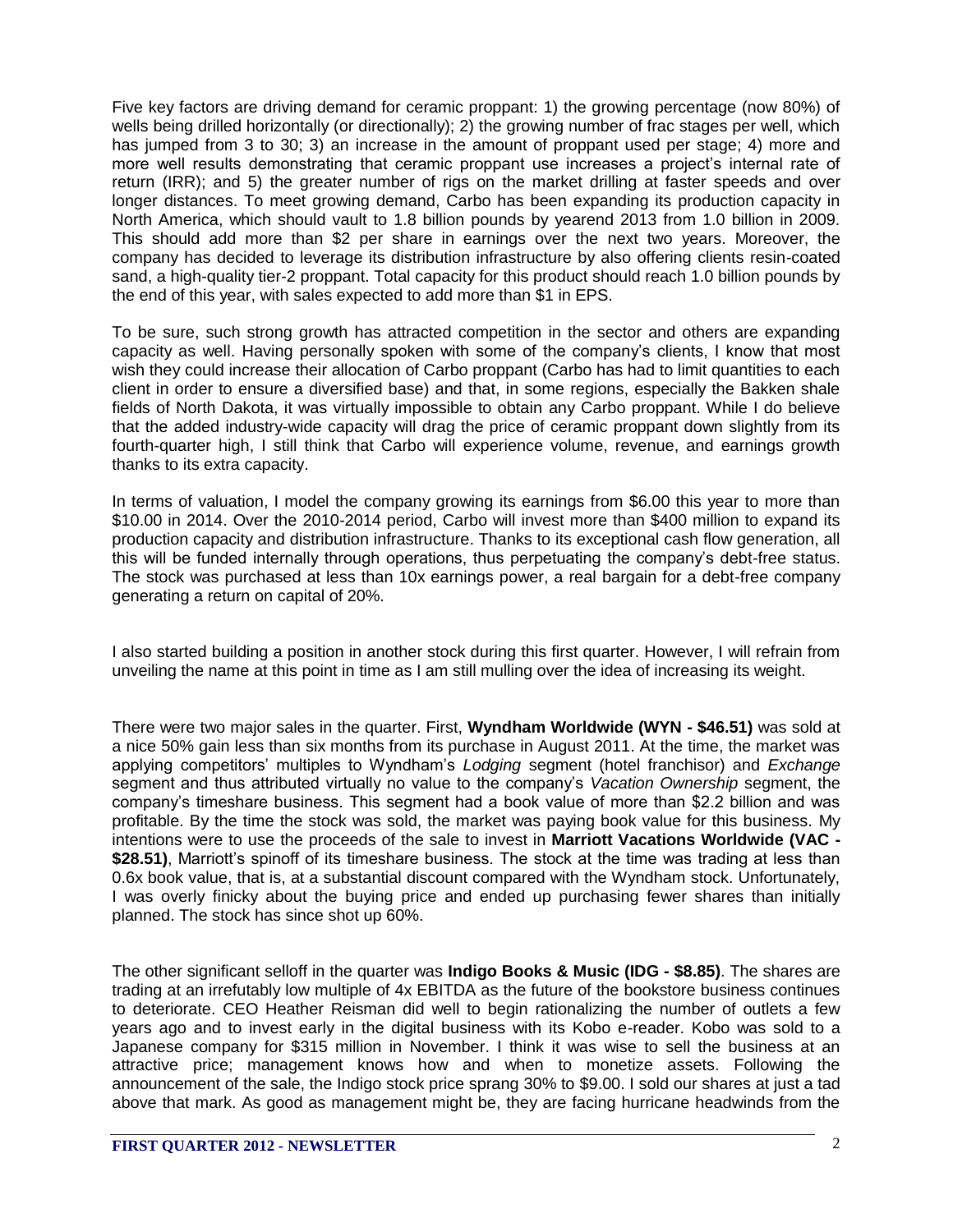Five key factors are driving demand for ceramic proppant: 1) the growing percentage (now 80%) of wells being drilled horizontally (or directionally); 2) the growing number of frac stages per well, which has jumped from 3 to 30; 3) an increase in the amount of proppant used per stage; 4) more and more well results demonstrating that ceramic proppant use increases a project's internal rate of return (IRR); and 5) the greater number of rigs on the market drilling at faster speeds and over longer distances. To meet growing demand, Carbo has been expanding its production capacity in North America, which should vault to 1.8 billion pounds by yearend 2013 from 1.0 billion in 2009. This should add more than \$2 per share in earnings over the next two years. Moreover, the company has decided to leverage its distribution infrastructure by also offering clients resin-coated sand, a high-quality tier-2 proppant. Total capacity for this product should reach 1.0 billion pounds by the end of this year, with sales expected to add more than \$1 in EPS.

To be sure, such strong growth has attracted competition in the sector and others are expanding capacity as well. Having personally spoken with some of the company's clients, I know that most wish they could increase their allocation of Carbo proppant (Carbo has had to limit quantities to each client in order to ensure a diversified base) and that, in some regions, especially the Bakken shale fields of North Dakota, it was virtually impossible to obtain any Carbo proppant. While I do believe that the added industry-wide capacity will drag the price of ceramic proppant down slightly from its fourth-quarter high, I still think that Carbo will experience volume, revenue, and earnings growth thanks to its extra capacity.

In terms of valuation, I model the company growing its earnings from \$6.00 this year to more than \$10.00 in 2014. Over the 2010-2014 period, Carbo will invest more than \$400 million to expand its production capacity and distribution infrastructure. Thanks to its exceptional cash flow generation, all this will be funded internally through operations, thus perpetuating the company's debt-free status. The stock was purchased at less than 10x earnings power, a real bargain for a debt-free company generating a return on capital of 20%.

I also started building a position in another stock during this first quarter. However, I will refrain from unveiling the name at this point in time as I am still mulling over the idea of increasing its weight.

There were two major sales in the quarter. First, **Wyndham Worldwide (WYN - \$46.51)** was sold at a nice 50% gain less than six months from its purchase in August 2011. At the time, the market was applying competitors' multiples to Wyndham's *Lodging* segment (hotel franchisor) and *Exchange* segment and thus attributed virtually no value to the company's *Vacation Ownership* segment, the company's timeshare business. This segment had a book value of more than \$2.2 billion and was profitable. By the time the stock was sold, the market was paying book value for this business. My intentions were to use the proceeds of the sale to invest in **Marriott Vacations Worldwide (VAC - \$28.51)**, Marriott's spinoff of its timeshare business. The stock at the time was trading at less than 0.6x book value, that is, at a substantial discount compared with the Wyndham stock. Unfortunately, I was overly finicky about the buying price and ended up purchasing fewer shares than initially planned. The stock has since shot up 60%.

The other significant selloff in the quarter was **Indigo Books & Music (IDG - \$8.85)**. The shares are trading at an irrefutably low multiple of 4x EBITDA as the future of the bookstore business continues to deteriorate. CEO Heather Reisman did well to begin rationalizing the number of outlets a few years ago and to invest early in the digital business with its Kobo e-reader. Kobo was sold to a Japanese company for \$315 million in November. I think it was wise to sell the business at an attractive price; management knows how and when to monetize assets. Following the announcement of the sale, the Indigo stock price sprang 30% to \$9.00. I sold our shares at just a tad above that mark. As good as management might be, they are facing hurricane headwinds from the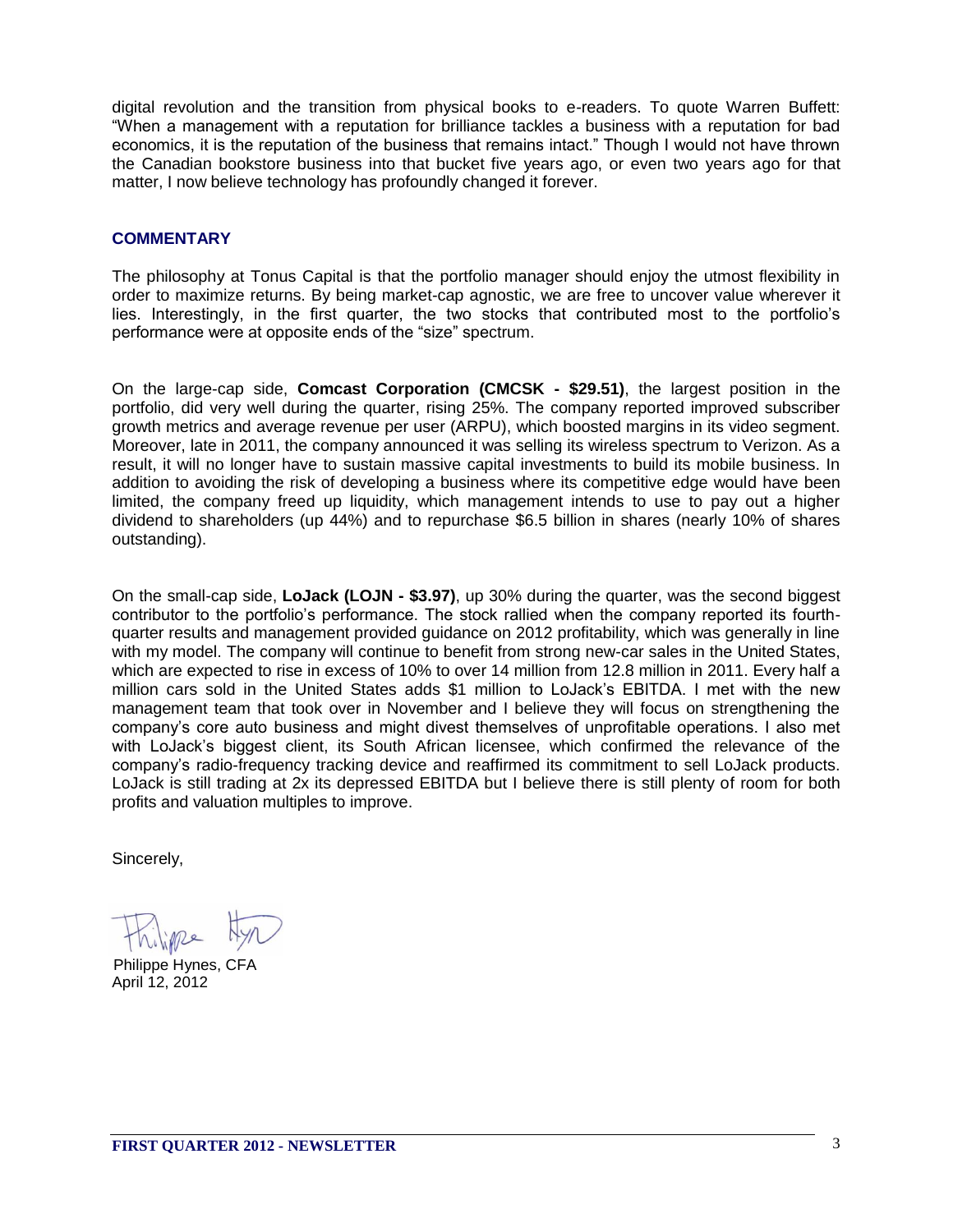digital revolution and the transition from physical books to e-readers. To quote Warren Buffett: "When a management with a reputation for brilliance tackles a business with a reputation for bad economics, it is the reputation of the business that remains intact." Though I would not have thrown the Canadian bookstore business into that bucket five years ago, or even two years ago for that matter, I now believe technology has profoundly changed it forever.

## **COMMENTARY**

The philosophy at Tonus Capital is that the portfolio manager should enjoy the utmost flexibility in order to maximize returns. By being market-cap agnostic, we are free to uncover value wherever it lies. Interestingly, in the first quarter, the two stocks that contributed most to the portfolio's performance were at opposite ends of the "size" spectrum.

On the large-cap side, **Comcast Corporation (CMCSK - \$29.51)**, the largest position in the portfolio, did very well during the quarter, rising 25%. The company reported improved subscriber growth metrics and average revenue per user (ARPU), which boosted margins in its video segment. Moreover, late in 2011, the company announced it was selling its wireless spectrum to Verizon. As a result, it will no longer have to sustain massive capital investments to build its mobile business. In addition to avoiding the risk of developing a business where its competitive edge would have been limited, the company freed up liquidity, which management intends to use to pay out a higher dividend to shareholders (up 44%) and to repurchase \$6.5 billion in shares (nearly 10% of shares outstanding).

On the small-cap side, **LoJack (LOJN - \$3.97)**, up 30% during the quarter, was the second biggest contributor to the portfolio's performance. The stock rallied when the company reported its fourthquarter results and management provided guidance on 2012 profitability, which was generally in line with my model. The company will continue to benefit from strong new-car sales in the United States, which are expected to rise in excess of 10% to over 14 million from 12.8 million in 2011. Every half a million cars sold in the United States adds \$1 million to LoJack's EBITDA. I met with the new management team that took over in November and I believe they will focus on strengthening the company's core auto business and might divest themselves of unprofitable operations. I also met with LoJack's biggest client, its South African licensee, which confirmed the relevance of the company's radio-frequency tracking device and reaffirmed its commitment to sell LoJack products. LoJack is still trading at 2x its depressed EBITDA but I believe there is still plenty of room for both profits and valuation multiples to improve.

Sincerely,

April 12, 2012 Philippe Hynes, CFA